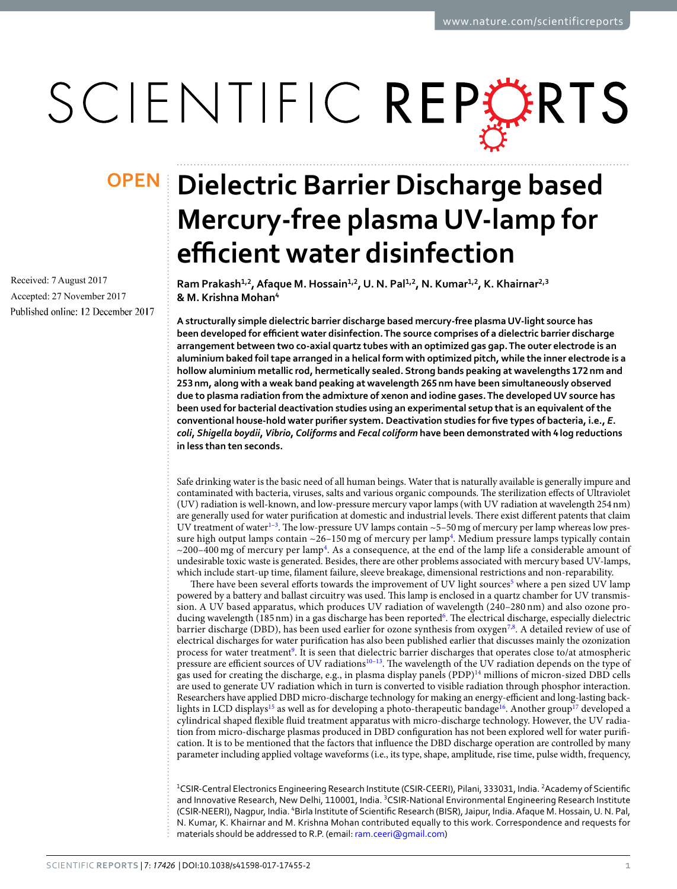# SCIENTIFIC REPERTS

Received: 7 August 2017 Accepted: 27 November 2017 Published online: 12 December 2017

## **Dielectric Barrier Discharge based OPENMercury-free plasma UV-lamp for efficient water disinfection**

**Ram Prakash1,2, Afaque M. Hossain1,2, U. N. Pal1,2, N. Kumar1,2, K. Khairnar2,3 & M. Krishna Mohan<sup>4</sup>**

**A structurally simple dielectric barrier discharge based mercury-free plasma UV-light source has been developed for efficient water disinfection. The source comprises of a dielectric barrier discharge arrangement between two co-axial quartz tubes with an optimized gas gap. The outer electrode is an aluminium baked foil tape arranged in a helical form with optimized pitch, while the inner electrode is a hollow aluminium metallic rod, hermetically sealed. Strong bands peaking at wavelengths 172 nm and 253 nm, along with a weak band peaking at wavelength 265 nm have been simultaneously observed due to plasma radiation from the admixture of xenon and iodine gases. The developed UV source has been used for bacterial deactivation studies using an experimental setup that is an equivalent of the conventional house-hold water purifier system. Deactivation studies for five types of bacteria, i.e.,** *E***.**  *coli***,** *Shigella boydii***,** *Vibrio***,** *Coliforms* **and** *Fecal coliform* **have been demonstrated with 4 log reductions in less than ten seconds.**

Safe drinking water is the basic need of all human beings. Water that is naturally available is generally impure and contaminated with bacteria, viruses, salts and various organic compounds. The sterilization effects of Ultraviolet (UV) radiation is well-known, and low-pressure mercury vapor lamps (with UV radiation at wavelength 254 nm) are generally used for water purification at domestic and industrial levels. There exist different patents that claim UV treatment of water<sup>1-[3](#page-6-1)</sup>. The low-pressure UV lamps contain ~5-50 mg of mercury per lamp whereas low pressure high output lamps contain  $\sim$ 26-150 mg of mercury per lamp<sup>[4](#page-6-2)</sup>. Medium pressure lamps typically contain  $\sim$ 200-[4](#page-6-2)00 mg of mercury per lamp<sup>4</sup>. As a consequence, at the end of the lamp life a considerable amount of undesirable toxic waste is generated. Besides, there are other problems associated with mercury based UV-lamps, which include start-up time, filament failure, sleeve breakage, dimensional restrictions and non-reparability.

There have been several efforts towards the improvement of UV light sources<sup>[5](#page-6-3)</sup> where a pen sized UV lamp powered by a battery and ballast circuitry was used. This lamp is enclosed in a quartz chamber for UV transmission. A UV based apparatus, which produces UV radiation of wavelength (240–280 nm) and also ozone pro-ducing wavelength (185 nm) in a gas discharge has been reported<sup>[6](#page-6-4)</sup>. The electrical discharge, especially dielectric barrier discharge (DBD), has been used earlier for ozone synthesis from oxygen<sup>[7](#page-6-5),[8](#page-6-6)</sup>. A detailed review of use of electrical discharges for water purification has also been published earlier that discusses mainly the ozonization process for water treatment<sup>[9](#page-6-7)</sup>. It is seen that dielectric barrier discharges that operates close to/at atmospheric pressure are efficient sources of UV radiations<sup>10-[13](#page-6-9)</sup>. The wavelength of the UV radiation depends on the type of gas used for creating the discharge, e.g., in plasma display panels (PDP)[14](#page-6-10) millions of micron-sized DBD cells are used to generate UV radiation which in turn is converted to visible radiation through phosphor interaction. Researchers have applied DBD micro-discharge technology for making an energy-efficient and long-lasting back-lights in LCD displays<sup>[15](#page-6-11)</sup> as well as for developing a photo-therapeutic bandage<sup>[16](#page-6-12)</sup>. Another group<sup>[17](#page-6-13)</sup> developed a cylindrical shaped flexible fluid treatment apparatus with micro-discharge technology. However, the UV radiation from micro-discharge plasmas produced in DBD configuration has not been explored well for water purification. It is to be mentioned that the factors that influence the DBD discharge operation are controlled by many parameter including applied voltage waveforms (i.e., its type, shape, amplitude, rise time, pulse width, frequency,

<sup>1</sup>CSIR-Central Electronics Engineering Research Institute (CSIR-CEERI), Pilani, 333031, India. <sup>2</sup>Academy of Scientific and Innovative Research, New Delhi, 110001, India. <sup>3</sup>CSIR-National Environmental Engineering Research Institute (CSIR-NEERI), Nagpur, India. <sup>4</sup>Birla Institute of Scientific Research (BISR), Jaipur, India. Afaque M. Hossain, U. N. Pal, N. Kumar, K. Khairnar and M. Krishna Mohan contributed equally to this work. Correspondence and requests for materials should be addressed to R.P. (email: [ram.ceeri@gmail.com](mailto:ram.ceeri@gmail.com))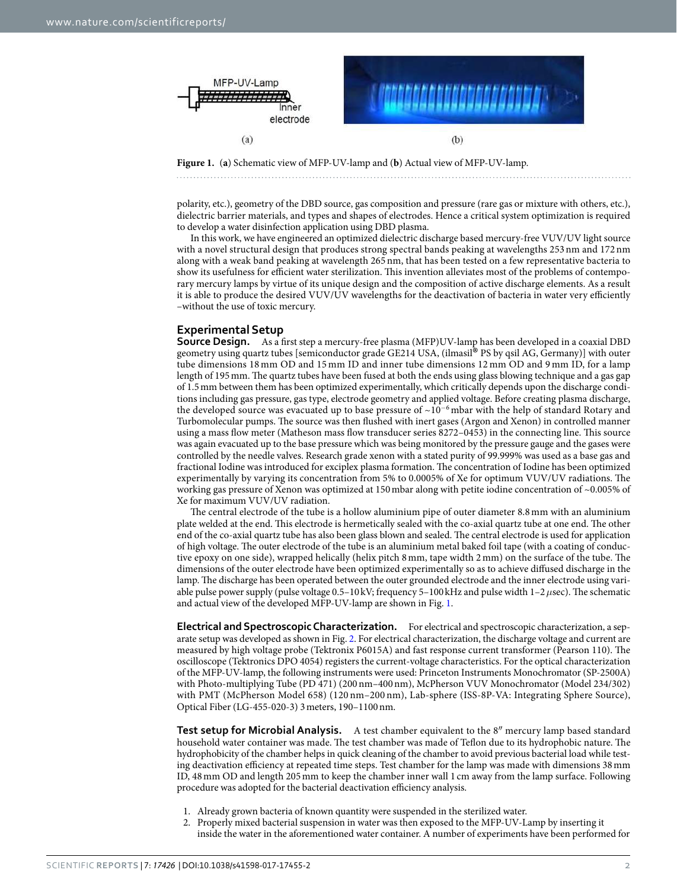

<span id="page-1-0"></span>**Figure 1.** (**a**) Schematic view of MFP-UV-lamp and (**b**) Actual view of MFP-UV-lamp.

polarity, etc.), geometry of the DBD source, gas composition and pressure (rare gas or mixture with others, etc.), dielectric barrier materials, and types and shapes of electrodes. Hence a critical system optimization is required to develop a water disinfection application using DBD plasma.

In this work, we have engineered an optimized dielectric discharge based mercury-free VUV/UV light source with a novel structural design that produces strong spectral bands peaking at wavelengths 253 nm and 172 nm along with a weak band peaking at wavelength 265 nm, that has been tested on a few representative bacteria to show its usefulness for efficient water sterilization. This invention alleviates most of the problems of contemporary mercury lamps by virtue of its unique design and the composition of active discharge elements. As a result it is able to produce the desired VUV/UV wavelengths for the deactivation of bacteria in water very efficiently –without the use of toxic mercury.

#### **Experimental Setup**

**Source Design.** As a first step a mercury-free plasma (MFP)UV-lamp has been developed in a coaxial DBD geometry using quartz tubes [semiconductor grade GE214 USA, (ilmasil® PS by qsil AG, Germany)] with outer<br>tube dimensions 18 mm OD and 15 mm ID and inner tube dimensions 12 mm OD and 8 mm ID for a lamp tube dimensions 18 mm OD and 15 mm ID and inner tube dimensions 12 mm OD and 9 mm ID, for a lamp length of 195 mm. The quartz tubes have been fused at both the ends using glass blowing technique and a gas gap of 1.5 mm between them has been optimized experimentally, which critically depends upon the discharge conditions including gas pressure, gas type, electrode geometry and applied voltage. Before creating plasma discharge, the developed source was evacuated up to base pressure of ~10<sup>−</sup><sup>6</sup> mbar with the help of standard Rotary and Turbomolecular pumps. The source was then flushed with inert gases (Argon and Xenon) in controlled manner using a mass flow meter (Matheson mass flow transducer series 8272–0453) in the connecting line. This source was again evacuated up to the base pressure which was being monitored by the pressure gauge and the gases were controlled by the needle valves. Research grade xenon with a stated purity of 99.999% was used as a base gas and fractional Iodine was introduced for exciplex plasma formation. The concentration of Iodine has been optimized experimentally by varying its concentration from 5% to 0.0005% of Xe for optimum VUV/UV radiations. The working gas pressure of Xenon was optimized at 150 mbar along with petite iodine concentration of ~0.005% of Xe for maximum VUV/UV radiation.

The central electrode of the tube is a hollow aluminium pipe of outer diameter 8.8 mm with an aluminium plate welded at the end. This electrode is hermetically sealed with the co-axial quartz tube at one end. The other end of the co-axial quartz tube has also been glass blown and sealed. The central electrode is used for application of high voltage. The outer electrode of the tube is an aluminium metal baked foil tape (with a coating of conductive epoxy on one side), wrapped helically (helix pitch 8 mm, tape width 2 mm) on the surface of the tube. The dimensions of the outer electrode have been optimized experimentally so as to achieve diffused discharge in the lamp. The discharge has been operated between the outer grounded electrode and the inner electrode using variable pulse power supply (pulse voltage 0.5–10 kV; frequency 5–100 kHz and pulse width 1–2 *µ*sec). The schematic and actual view of the developed MFP-UV-lamp are shown in Fig. [1.](#page-1-0)

**Electrical and Spectroscopic Characterization.** For electrical and spectroscopic characterization, a separate setup was developed as shown in Fig. [2](#page-2-0). For electrical characterization, the discharge voltage and current are measured by high voltage probe (Tektronix P6015A) and fast response current transformer (Pearson 110). The oscilloscope (Tektronics DPO 4054) registers the current-voltage characteristics. For the optical characterization of the MFP-UV-lamp, the following instruments were used: Princeton Instruments Monochromator (SP-2500A) with Photo-multiplying Tube (PD 471) (200 nm–400 nm), McPherson VUV Monochromator (Model 234/302) with PMT (McPherson Model 658) (120 nm–200 nm), Lab-sphere (ISS-8P-VA: Integrating Sphere Source), Optical Fiber (LG-455-020-3) 3 meters, 190–1100 nm.

**Test setup for Microbial Analysis.** A test chamber equivalent to the 8″ mercury lamp based standard household water container was made. The test chamber was made of Teflon due to its hydrophobic nature. The hydrophobicity of the chamber helps in quick cleaning of the chamber to avoid previous bacterial load while testing deactivation efficiency at repeated time steps. Test chamber for the lamp was made with dimensions 38 mm ID, 48 mm OD and length 205 mm to keep the chamber inner wall 1 cm away from the lamp surface. Following procedure was adopted for the bacterial deactivation efficiency analysis.

- 1. Already grown bacteria of known quantity were suspended in the sterilized water.
- 2. Properly mixed bacterial suspension in water was then exposed to the MFP-UV-Lamp by inserting it inside the water in the aforementioned water container. A number of experiments have been performed for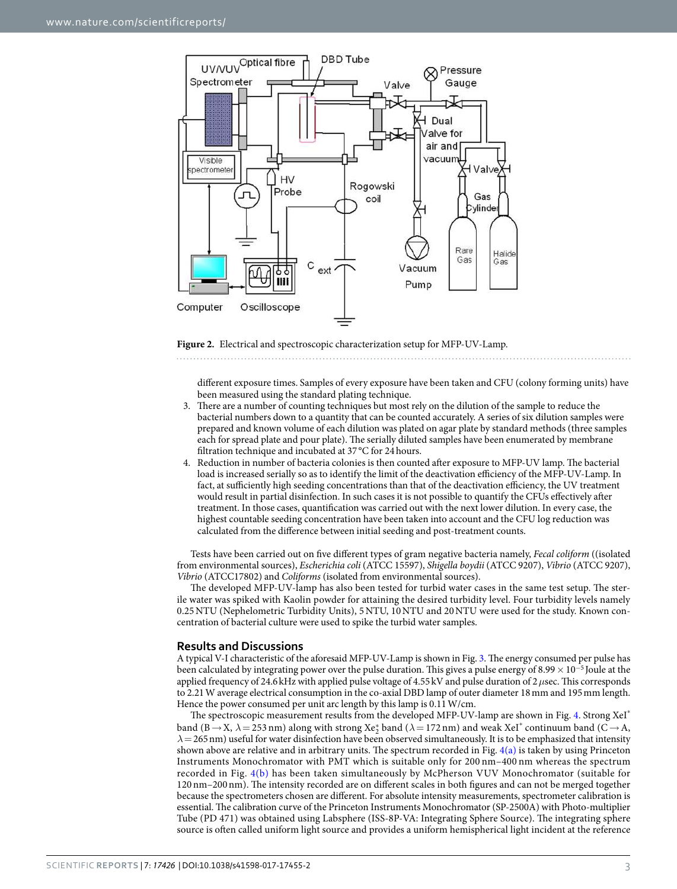

<span id="page-2-0"></span>**Figure 2.** Electrical and spectroscopic characterization setup for MFP-UV-Lamp.

different exposure times. Samples of every exposure have been taken and CFU (colony forming units) have been measured using the standard plating technique.

- 3. There are a number of counting techniques but most rely on the dilution of the sample to reduce the bacterial numbers down to a quantity that can be counted accurately. A series of six dilution samples were prepared and known volume of each dilution was plated on agar plate by standard methods (three samples each for spread plate and pour plate). The serially diluted samples have been enumerated by membrane filtration technique and incubated at 37 °C for 24 hours.
- 4. Reduction in number of bacteria colonies is then counted after exposure to MFP-UV lamp. The bacterial load is increased serially so as to identify the limit of the deactivation efficiency of the MFP-UV-Lamp. In fact, at sufficiently high seeding concentrations than that of the deactivation efficiency, the UV treatment would result in partial disinfection. In such cases it is not possible to quantify the CFUs effectively after treatment. In those cases, quantification was carried out with the next lower dilution. In every case, the highest countable seeding concentration have been taken into account and the CFU log reduction was calculated from the difference between initial seeding and post-treatment counts.

Tests have been carried out on five different types of gram negative bacteria namely, Fecal coliform ((isolated from environmental sources), Escherichia coli (ATCC 15597), Shigella boydii (ATCC 9207), Vibrio (ATCC 9207), Vibrio (ATCC17802) and Coliforms (isolated from environmental sources).

The developed MFP-UV-lamp has also been tested for turbid water cases in the same test setup. The sterile water was spiked with Kaolin powder for attaining the desired turbidity level. Four turbidity levels namely 0.25 NTU (Nephelometric Turbidity Units), 5 NTU, 10 NTU and 20 NTU were used for the study. Known concentration of bacterial culture were used to spike the turbid water samples.

#### **Results and Discussions**

A typical V-I characteristic of the aforesaid MFP-UV-Lamp is shown in Fig. [3.](#page-3-0) The energy consumed per pulse has been calculated by integrating power over the pulse duration. This gives a pulse energy of 8.99  $\times$  10<sup>-5</sup> Joule at the applied frequency of 24.6 kHz with applied pulse voltage of 4.55 kV and pulse duration of 2 *µ*sec. This corresponds to 2.21 W average electrical consumption in the co-axial DBD lamp of outer diameter 18 mm and 195 mm length. Hence the power consumed per unit arc length by this lamp is 0.11 W/cm.

The spectroscopic measurement results from the developed MFP-UV-lamp are shown in Fig. [4.](#page-3-1) Strong XeI\* band (B  $\rightarrow$  X,  $\lambda$  = 253 nm) along with strong Xe<sub>2</sub><sup>\*</sup> band ( $\lambda$  = 172 nm) and weak XeI<sup>\*</sup> continuum band (C  $\rightarrow$  A, *λ*= 265 nm) useful for water disinfection have been observed simultaneously. It is to be emphasized that intensity shown above are relative and in arbitrary units. The spectrum recorded in Fig. [4\(a\)](#page-3-1) is taken by using Princeton Instruments Monochromator with PMT which is suitable only for 200 nm–400 nm whereas the spectrum recorded in Fig. [4\(b\)](#page-3-1) has been taken simultaneously by McPherson VUV Monochromator (suitable for 120 nm–200 nm). The intensity recorded are on different scales in both figures and can not be merged together because the spectrometers chosen are different. For absolute intensity measurements, spectrometer calibration is essential. The calibration curve of the Princeton Instruments Monochromator (SP-2500A) with Photo-multiplier Tube (PD 471) was obtained using Labsphere (ISS-8P-VA: Integrating Sphere Source). The integrating sphere source is often called uniform light source and provides a uniform hemispherical light incident at the reference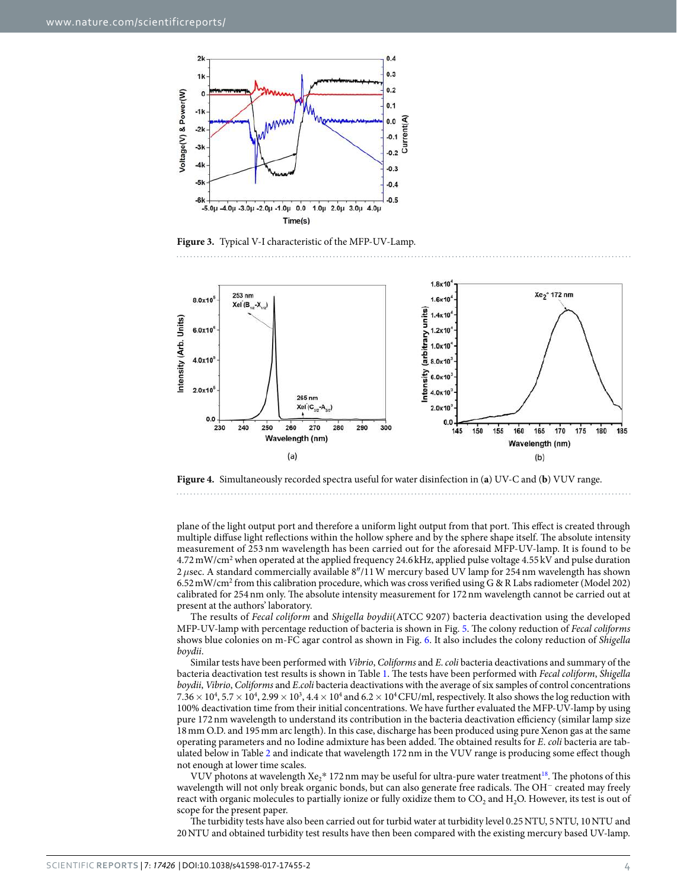

<span id="page-3-0"></span>**Figure 3.** Typical V-I characteristic of the MFP-UV-Lamp.



<span id="page-3-1"></span>

plane of the light output port and therefore a uniform light output from that port. This effect is created through multiple diffuse light reflections within the hollow sphere and by the sphere shape itself. The absolute intensity measurement of 253 nm wavelength has been carried out for the aforesaid MFP-UV-lamp. It is found to be 4.72 mW/cm<sup>2</sup> when operated at the applied frequency 24.6 kHz, applied pulse voltage 4.55 kV and pulse duration 2 *µ*sec. A standard commercially available 8″/11 W mercury based UV lamp for 254 nm wavelength has shown 6.52 mW/cm<sup>2</sup> from this calibration procedure, which was cross verified using G & R Labs radiometer (Model 202) calibrated for 254 nm only. The absolute intensity measurement for 172 nm wavelength cannot be carried out at

present at the authors' laboratory. The results of Fecal coliform and Shigella boydii(ATCC 9207) bacteria deactivation using the developed MFP-UV-lamp with percentage reduction of bacteria is shown in Fig. [5.](#page-4-0) The colony reduction of Fecal coliforms shows blue colonies on m-FC agar control as shown in Fig. [6.](#page-4-1) It also includes the colony reduction of Shigella boydii.

Similar tests have been performed with Vibrio, Coliforms and E. coli bacteria deactivations and summary of the bacteria deactivation test results is shown in Table [1.](#page-5-0) The tests have been performed with Fecal coliform, Shigella boydii, Vibrio, Coliforms and E.coli bacteria deactivations with the average of six samples of control concentrations  $7.36\times10^4$ ,  $5.7\times10^4$ ,  $2.99\times10^3$ ,  $4.4\times10^4$  and  $6.2\times10^4$  CFU/ml, respectively. It also shows the log reduction with 100% deactivation time from their initial concentrations. We have further evaluated the MFP-UV-lamp by using pure 172 nm wavelength to understand its contribution in the bacteria deactivation efficiency (similar lamp size 18 mm O.D. and 195 mm arc length). In this case, discharge has been produced using pure Xenon gas at the same operating parameters and no Iodine admixture has been added. The obtained results for E. coli bacteria are tabulated below in Table [2](#page-5-1) and indicate that wavelength 172 nm in the VUV range is producing some effect though not enough at lower time scales.

VUV photons at wavelength  $Xe^*$  172 nm may be useful for ultra-pure water treatment<sup>[18](#page-6-14)</sup>. The photons of this wavelength will not only break organic bonds, but can also generate free radicals. The OH<sup>−</sup> created may freely react with organic molecules to partially ionize or fully oxidize them to  $CO_2$  and  $H_2O$ . However, its test is out of scope for the present paper.

The turbidity tests have also been carried out for turbid water at turbidity level 0.25 NTU, 5 NTU, 10 NTU and 20 NTU and obtained turbidity test results have then been compared with the existing mercury based UV-lamp.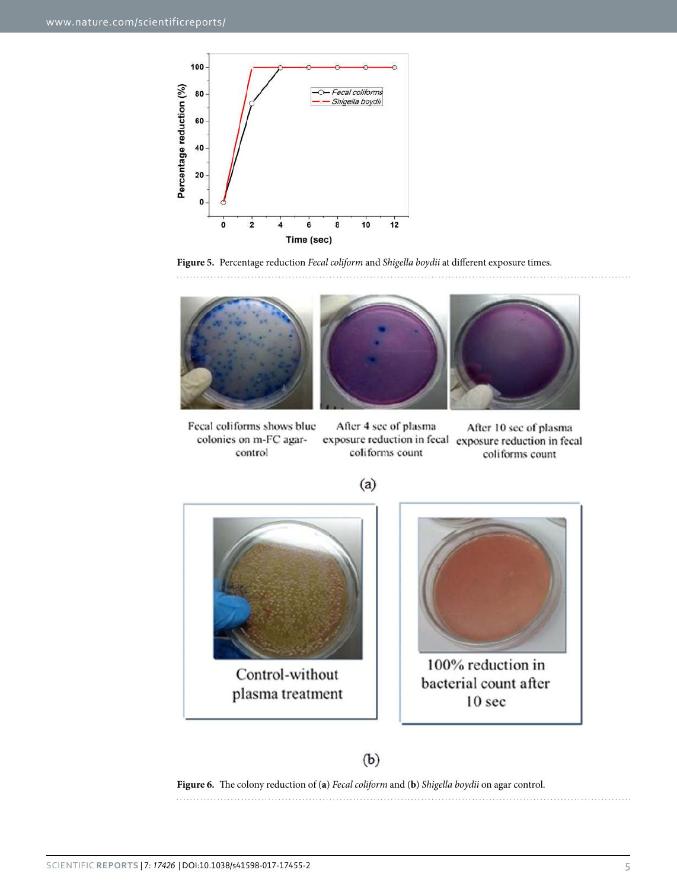

<span id="page-4-0"></span>



Fecal coliforms shows blue After 4 see of plasma colonies on m-FC agarexposure reduction in fecal exposure reduction in fecal coliforms count control

After 10 sec of plasma coliforms count

. . . . . . . . . . . . . . . . . . . .





100% reduction in bacterial count after 10 sec

### $(b)$

<span id="page-4-1"></span>**Figure 6.** The colony reduction of (**a**) Fecal coliform and (**b**) Shigella boydii on agar control.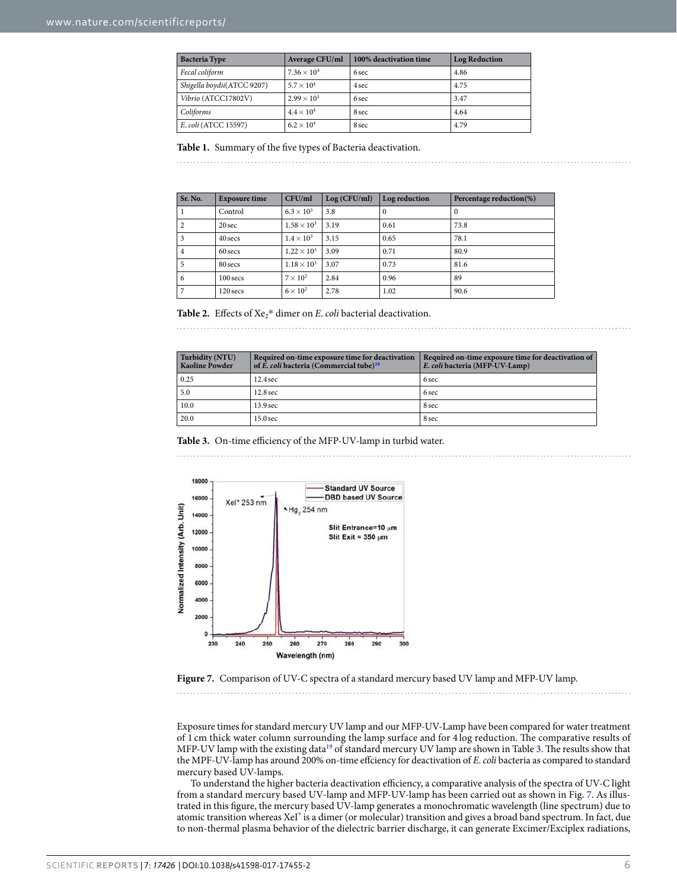<span id="page-5-0"></span>

| <b>Bacteria Type</b>       | <b>Average CFU/ml</b> | 100% deactivation time | <b>Log Reduction</b> |  |  |  |
|----------------------------|-----------------------|------------------------|----------------------|--|--|--|
| Fecal coliform             | $7.36 \times 10^{4}$  | 6 sec                  | 4.86                 |  |  |  |
| Shigella boydii(ATCC 9207) | $5.7 \times 10^{4}$   | 4 sec                  | 4.75                 |  |  |  |
| Vibrio (ATCC17802V)        | $2.99 \times 10^{3}$  | 6 sec                  | 3.47                 |  |  |  |
| Coliforms                  | $4.4\times10^4$       | 8 sec                  | 4.64                 |  |  |  |
| E. coli (ATCC 15597)       | $6.2 \times 10^4$     | 8 sec                  | 4.79                 |  |  |  |

#### **Table 1.** Summary of the five types of Bacteria deactivation.

<span id="page-5-1"></span>

| Sr. No.        | <b>Exposure time</b> | CFU/ml               | Log (CFU/ml) | Log reduction | Percentage reduction(%) |
|----------------|----------------------|----------------------|--------------|---------------|-------------------------|
|                | Control              | $6.3 \times 10^3$    | 3.8          | $\Omega$      | 0                       |
| $\overline{c}$ | 20 sec               | $1.58 \times 10^{3}$ | 3.19         | 0.61          | 73.8                    |
| 3              | 40 secs              | $1.4 \times 10^3$    | 3.15         | 0.65          | 78.1                    |
| 4              | 60 secs              | $1.22 \times 10^{3}$ | 3.09         | 0.71          | 80.9                    |
| 5              | 80 secs              | $1.18 \times 10^{3}$ | 3.07         | 0.73          | 81.6                    |
| 6              | 100 secs             | $7 \times 10^2$      | 2.84         | 0.96          | 89                      |
| 7              | 120 secs             | $6 \times 10^2$      | 2.78         | 1.02          | 90.6                    |

**Table 2.** Effects of  $Xe_2^*$  dimer on *E. coli* bacterial deactivation.

<span id="page-5-2"></span>

| Turbidity (NTU)<br><b>Kaoline Powder</b> | Required on-time exposure time for deactivation<br>of E. coli bacteria (Commercial tube) <sup>19</sup> | Required on-time exposure time for deactivation of<br>E. coli bacteria (MFP-UV-Lamp) |
|------------------------------------------|--------------------------------------------------------------------------------------------------------|--------------------------------------------------------------------------------------|
| 0.25                                     | $12.4 \text{ sec}$                                                                                     | 6 sec                                                                                |
| 5.0                                      | 12.8 <sub>sec</sub>                                                                                    | 6 sec                                                                                |
| 10.0                                     | 13.9 <sub>sec</sub>                                                                                    | 8 sec                                                                                |
| 20.0                                     | $15.0$ sec                                                                                             | 8 sec                                                                                |

**Table 3.** On-time efficiency of the MFP-UV-lamp in turbid water.



<span id="page-5-3"></span>

Exposure times for standard mercury UV lamp and our MFP-UV-Lamp have been compared for water treatment of 1 cm thick water column surrounding the lamp surface and for 4 log reduction. The comparative results of MFP-UV lamp with the existing data<sup>[19](#page-6-15)</sup> of standard mercury UV lamp are shown in Table [3.](#page-5-2) The results show that the MPF-UV-lamp has around 200% on-time effciency for deactivation of E. coli bacteria as compared to standard mercury based UV-lamps.

To understand the higher bacteria deactivation efficiency, a comparative analysis of the spectra of UV-C light from a standard mercury based UV-lamp and MFP-UV-lamp has been carried out as shown in Fig. [7.](#page-5-3) As illustrated in this figure, the mercury based UV-lamp generates a monochromatic wavelength (line spectrum) due to atomic transition whereas XeI\* is a dimer (or molecular) transition and gives a broad band spectrum. In fact, due to non-thermal plasma behavior of the dielectric barrier discharge, it can generate Excimer/Exciplex radiations,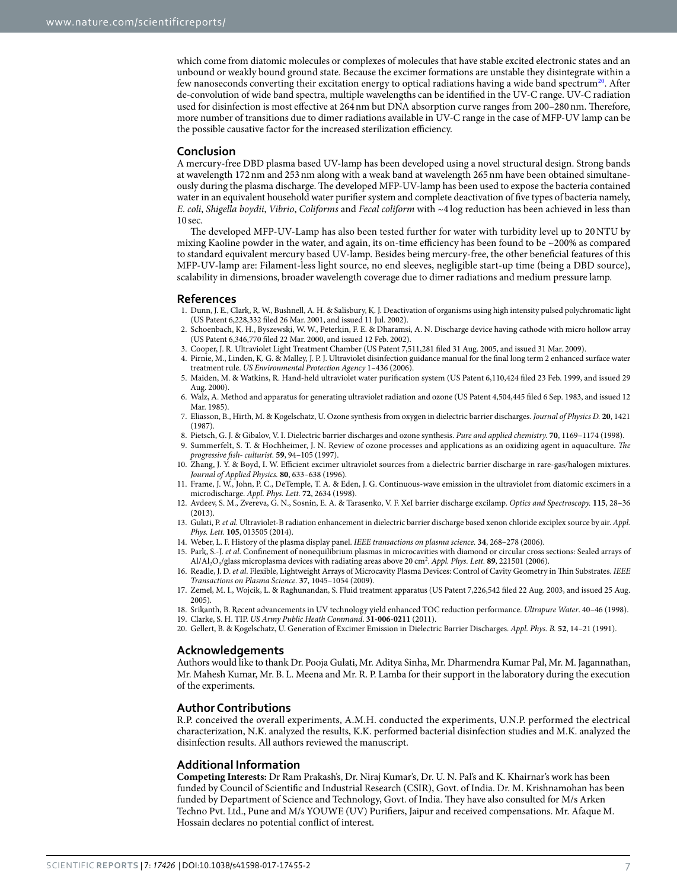which come from diatomic molecules or complexes of molecules that have stable excited electronic states and an unbound or weakly bound ground state. Because the excimer formations are unstable they disintegrate within a few nanoseconds converting their excitation energy to optical radiations having a wide band spectrum<sup>[20](#page-6-16)</sup>. After de-convolution of wide band spectra, multiple wavelengths can be identified in the UV-C range. UV-C radiation used for disinfection is most effective at 264 nm but DNA absorption curve ranges from 200–280 nm. Therefore, more number of transitions due to dimer radiations available in UV-C range in the case of MFP-UV lamp can be the possible causative factor for the increased sterilization efficiency.

#### **Conclusion**

A mercury-free DBD plasma based UV-lamp has been developed using a novel structural design. Strong bands at wavelength 172 nm and 253 nm along with a weak band at wavelength 265 nm have been obtained simultaneously during the plasma discharge. The developed MFP-UV-lamp has been used to expose the bacteria contained water in an equivalent household water purifier system and complete deactivation of five types of bacteria namely, E. coli, Shigella boydii, Vibrio, Coliforms and Fecal coliform with ~4 log reduction has been achieved in less than 10 sec.

The developed MFP-UV-Lamp has also been tested further for water with turbidity level up to 20 NTU by mixing Kaoline powder in the water, and again, its on-time efficiency has been found to be ~200% as compared to standard equivalent mercury based UV-lamp. Besides being mercury-free, the other beneficial features of this MFP-UV-lamp are: Filament-less light source, no end sleeves, negligible start-up time (being a DBD source), scalability in dimensions, broader wavelength coverage due to dimer radiations and medium pressure lamp.

#### **References**

- <span id="page-6-0"></span> 1. Dunn, J. E., Clark, R. W., Bushnell, A. H. & Salisbury, K. J. Deactivation of organisms using high intensity pulsed polychromatic light (US Patent 6,228,332 filed 26 Mar. 2001, and issued 11 Jul. 2002).
- 2. Schoenbach, K. H., Byszewski, W. W., Peterkin, F. E. & Dharamsi, A. N. Discharge device having cathode with micro hollow array (US Patent 6,346,770 filed 22 Mar. 2000, and issued 12 Feb. 2002).
- <span id="page-6-1"></span>3. Cooper, J. R. Ultraviolet Light Treatment Chamber (US Patent 7,511,281 filed 31 Aug. 2005, and issued 31 Mar. 2009).
- <span id="page-6-2"></span> 4. Pirnie, M., Linden, K. G. & Malley, J. P. J. Ultraviolet disinfection guidance manual for the final long term 2 enhanced surface water treatment rule. US Environmental Protection Agency 1–436 (2006).
- <span id="page-6-3"></span> 5. Maiden, M. & Watkins, R. Hand-held ultraviolet water purification system (US Patent 6,110,424 filed 23 Feb. 1999, and issued 29 Aug. 2000).
- <span id="page-6-4"></span> 6. Walz, A. Method and apparatus for generating ultraviolet radiation and ozone (US Patent 4,504,445 filed 6 Sep. 1983, and issued 12 Mar. 1985).
- <span id="page-6-5"></span> 7. Eliasson, B., Hirth, M. & Kogelschatz, U. Ozone synthesis from oxygen in dielectric barrier discharges. Journal of Physics D. **20**, 1421 (1987).
- <span id="page-6-6"></span>8. Pietsch, G. J. & Gibalov, V. I. Dielectric barrier discharges and ozone synthesis. Pure and applied chemistry. **70**, 1169–1174 (1998).
- <span id="page-6-7"></span>9. Summerfelt, S. T. & Hochheimer, J. N. Review of ozone processes and applications as an oxidizing agent in aquaculture. The progressive fish- culturist. **59**, 94–105 (1997).
- <span id="page-6-8"></span> 10. Zhang, J. Y. & Boyd, I. W. Efficient excimer ultraviolet sources from a dielectric barrier discharge in rare-gas/halogen mixtures. Journal of Applied Physics. **80**, 633–638 (1996).
- 11. Frame, J. W., John, P. C., DeTemple, T. A. & Eden, J. G. Continuous-wave emission in the ultraviolet from diatomic excimers in a microdischarge. Appl. Phys. Lett. **72**, 2634 (1998).
- 12. Avdeev, S. M., Zvereva, G. N., Sosnin, E. A. & Tarasenko, V. F. XeI barrier discharge excilamp. Optics and Spectroscopy. **115**, 28–36 (2013).
- <span id="page-6-9"></span>13. Gulati, P. et al. Ultraviolet-B radiation enhancement in dielectric barrier discharge based xenon chloride exciplex source by air. Appl. Phys. Lett. **105**, 013505 (2014).
- <span id="page-6-10"></span>14. Weber, L. F. History of the plasma display panel. IEEE transactions on plasma science. **34**, 268–278 (2006).
- <span id="page-6-11"></span>15. Park, S.-J. et al. Confinement of nonequilibrium plasmas in microcavities with diamond or circular cross sections: Sealed arrays of Al/Al<sub>2</sub>O<sub>3</sub>/glass microplasma devices with radiating areas above 20 cm<sup>2</sup>. Appl. Phys. Lett. **89**, 221501 (2006).
- <span id="page-6-12"></span> 16. Readle, J. D. et al. Flexible, Lightweight Arrays of Microcavity Plasma Devices: Control of Cavity Geometry in Thin Substrates. IEEE Transactions on Plasma Science. **37**, 1045–1054 (2009).
- <span id="page-6-13"></span> 17. Zemel, M. I., Wojcik, L. & Raghunandan, S. Fluid treatment apparatus (US Patent 7,226,542 filed 22 Aug. 2003, and issued 25 Aug. 2005).
- <span id="page-6-15"></span><span id="page-6-14"></span> 18. Srikanth, B. Recent advancements in UV technology yield enhanced TOC reduction performance. Ultrapure Water. 40–46 (1998). 19. Clarke, S. H. TIP. US Army Public Heath Command. **31**-**006**-**0211** (2011).
- <span id="page-6-16"></span>20. Gellert, B. & Kogelschatz, U. Generation of Excimer Emission in Dielectric Barrier Discharges. Appl. Phys. B. **52**, 14–21 (1991).

#### **Acknowledgements**

Authors would like to thank Dr. Pooja Gulati, Mr. Aditya Sinha, Mr. Dharmendra Kumar Pal, Mr. M. Jagannathan, Mr. Mahesh Kumar, Mr. B. L. Meena and Mr. R. P. Lamba for their support in the laboratory during the execution of the experiments.

#### **Author Contributions**

R.P. conceived the overall experiments, A.M.H. conducted the experiments, U.N.P. performed the electrical characterization, N.K. analyzed the results, K.K. performed bacterial disinfection studies and M.K. analyzed the disinfection results. All authors reviewed the manuscript.

#### **Additional Information**

**Competing Interests:** Dr Ram Prakash's, Dr. Niraj Kumar's, Dr. U. N. Pal's and K. Khairnar's work has been funded by Council of Scientific and Industrial Research (CSIR), Govt. of India. Dr. M. Krishnamohan has been funded by Department of Science and Technology, Govt. of India. They have also consulted for M/s Arken Techno Pvt. Ltd., Pune and M/s YOUWE (UV) Purifiers, Jaipur and received compensations. Mr. Afaque M. Hossain declares no potential conflict of interest.